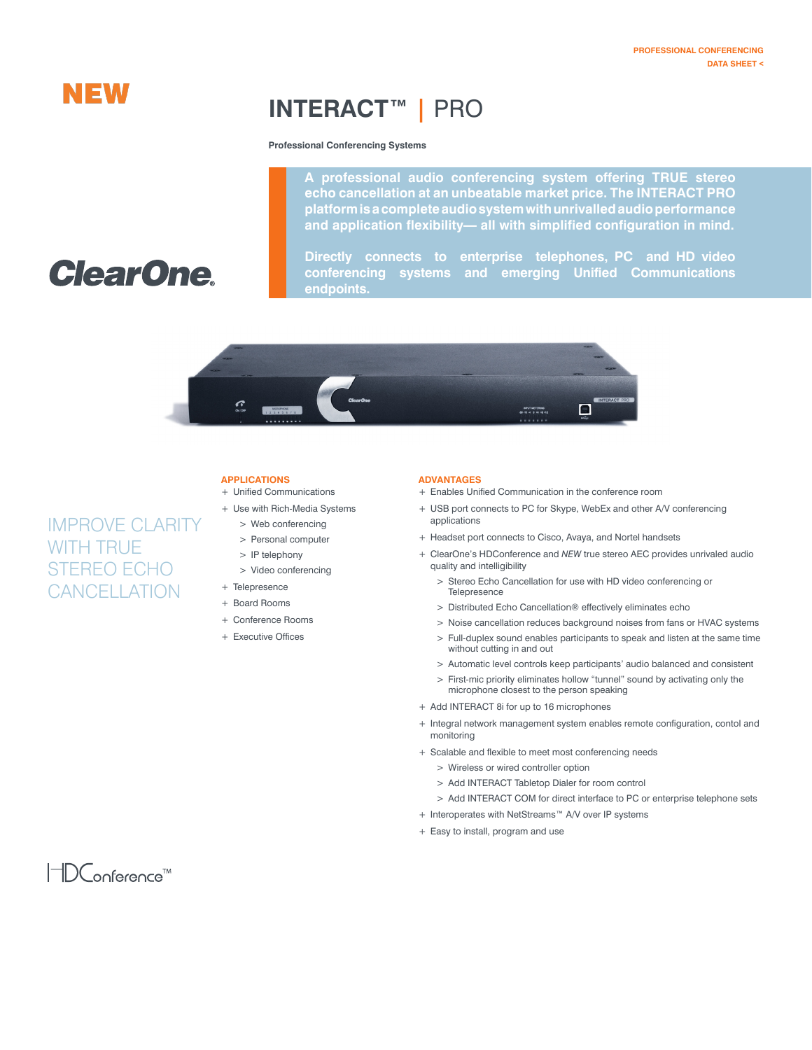## **NEW**

## **INTERACT™ |** PRO

#### **Professional Conferencing Systems**

**A professional audio conferencing system offering TRUE stereo echo cancellation at an unbeatable market price. The INTERACT PRO platform is a complete audio system with unrivalled audio performance and application flexibility— all with simplified configuration in mind.** 

# **ClearOne**

IMPROVE CLARITY

WITH TRUE

STEREO ECHO **CANCELLATION**  **Directly connects to enterprise telephones, PC and HD video conferencing systems and emerging Unified Communications endpoints.**



## **Applications**

- + Unified Communications
- + Use with Rich-Media Systems
	- > Web conferencing
	- > Personal computer
	- > IP telephony
	- > Video conferencing
- + Telepresence
- + Board Rooms
- + Conference Rooms
- + Executive Offices

### **Advantages**

- + Enables Unified Communication in the conference room
- + USB port connects to PC for Skype, WebEx and other A/V conferencing applications
- + Headset port connects to Cisco, Avaya, and Nortel handsets
- + ClearOne's HDConference and *NEW* true stereo AEC provides unrivaled audio quality and intelligibility
	- > Stereo Echo Cancellation for use with HD video conferencing or **Telepresence**
	- > Distributed Echo Cancellation® effectively eliminates echo
	- > Noise cancellation reduces background noises from fans or HVAC systems
	- > Full-duplex sound enables participants to speak and listen at the same time without cutting in and out
	- > Automatic level controls keep participants' audio balanced and consistent
	- > First-mic priority eliminates hollow "tunnel" sound by activating only the microphone closest to the person speaking
- + Add INTERACT 8i for up to 16 microphones
- + Integral network management system enables remote configuration, contol and monitoring
- + Scalable and flexible to meet most conferencing needs
	- > Wireless or wired controller option
	- > Add INTERACT Tabletop Dialer for room control
	- > Add INTERACT COM for direct interface to PC or enterprise telephone sets
- + Interoperates with NetStreams™ A/V over IP systems
- + Easy to install, program and use